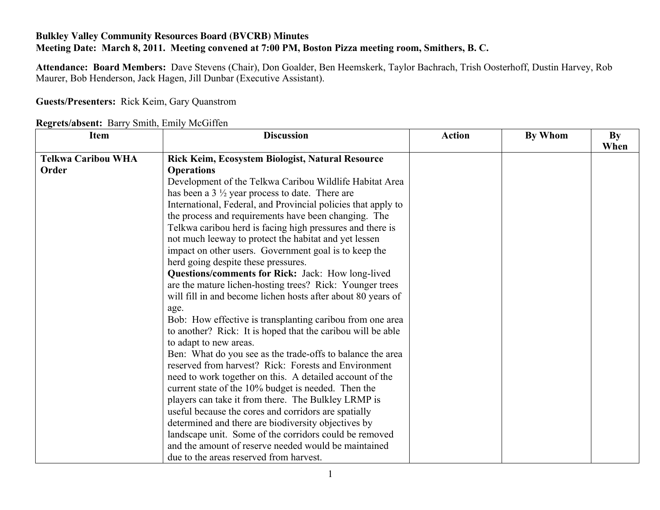## **Bulkley Valley Community Resources Board (BVCRB) Minutes Meeting Date: March 8, 2011. Meeting convened at 7:00 PM, Boston Pizza meeting room, Smithers, B. C.**

**Attendance: Board Members:** Dave Stevens (Chair), Don Goalder, Ben Heemskerk, Taylor Bachrach, Trish Oosterhoff, Dustin Harvey, Rob Maurer, Bob Henderson, Jack Hagen, Jill Dunbar (Executive Assistant).

## **Guests/Presenters:** Rick Keim, Gary Quanstrom

| Regrets/absent: Barry Smith, Emily McGiffen |  |  |  |  |
|---------------------------------------------|--|--|--|--|
|---------------------------------------------|--|--|--|--|

| <b>Item</b>               | <b>Discussion</b>                                             | <b>Action</b> | By Whom | By<br>When |
|---------------------------|---------------------------------------------------------------|---------------|---------|------------|
| <b>Telkwa Caribou WHA</b> | Rick Keim, Ecosystem Biologist, Natural Resource              |               |         |            |
| Order                     | <b>Operations</b>                                             |               |         |            |
|                           | Development of the Telkwa Caribou Wildlife Habitat Area       |               |         |            |
|                           | has been a $3\frac{1}{2}$ year process to date. There are     |               |         |            |
|                           | International, Federal, and Provincial policies that apply to |               |         |            |
|                           | the process and requirements have been changing. The          |               |         |            |
|                           | Telkwa caribou herd is facing high pressures and there is     |               |         |            |
|                           | not much leeway to protect the habitat and yet lessen         |               |         |            |
|                           | impact on other users. Government goal is to keep the         |               |         |            |
|                           | herd going despite these pressures.                           |               |         |            |
|                           | Questions/comments for Rick: Jack: How long-lived             |               |         |            |
|                           | are the mature lichen-hosting trees? Rick: Younger trees      |               |         |            |
|                           | will fill in and become lichen hosts after about 80 years of  |               |         |            |
|                           | age.                                                          |               |         |            |
|                           | Bob: How effective is transplanting caribou from one area     |               |         |            |
|                           | to another? Rick: It is hoped that the caribou will be able   |               |         |            |
|                           | to adapt to new areas.                                        |               |         |            |
|                           | Ben: What do you see as the trade-offs to balance the area    |               |         |            |
|                           | reserved from harvest? Rick: Forests and Environment          |               |         |            |
|                           | need to work together on this. A detailed account of the      |               |         |            |
|                           |                                                               |               |         |            |
|                           | current state of the 10% budget is needed. Then the           |               |         |            |
|                           | players can take it from there. The Bulkley LRMP is           |               |         |            |
|                           | useful because the cores and corridors are spatially          |               |         |            |
|                           | determined and there are biodiversity objectives by           |               |         |            |
|                           | landscape unit. Some of the corridors could be removed        |               |         |            |
|                           | and the amount of reserve needed would be maintained          |               |         |            |
|                           | due to the areas reserved from harvest.                       |               |         |            |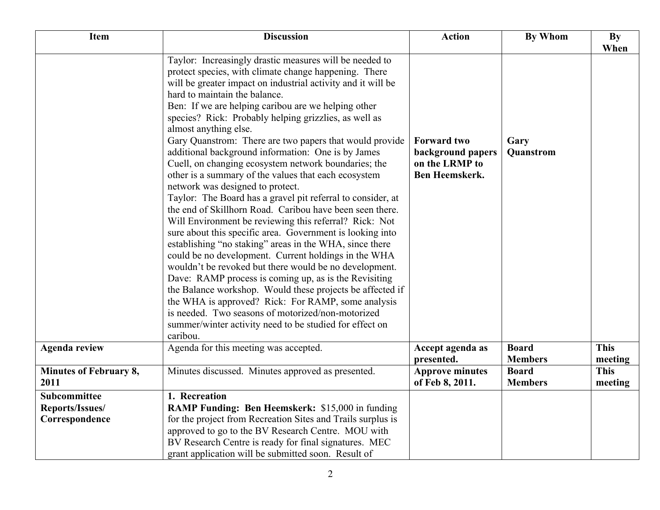| Item                                                     | <b>Discussion</b>                                                                                                                                                                                                                                                                                                                                                                                                                                                                                                                                                                                                                                                                                                                                                                                                                                                                                                                                                                                                                                                                                                                                                                                                                                                                                                                                                      | <b>Action</b>                                                               | <b>By Whom</b>                 | By<br>When             |
|----------------------------------------------------------|------------------------------------------------------------------------------------------------------------------------------------------------------------------------------------------------------------------------------------------------------------------------------------------------------------------------------------------------------------------------------------------------------------------------------------------------------------------------------------------------------------------------------------------------------------------------------------------------------------------------------------------------------------------------------------------------------------------------------------------------------------------------------------------------------------------------------------------------------------------------------------------------------------------------------------------------------------------------------------------------------------------------------------------------------------------------------------------------------------------------------------------------------------------------------------------------------------------------------------------------------------------------------------------------------------------------------------------------------------------------|-----------------------------------------------------------------------------|--------------------------------|------------------------|
|                                                          | Taylor: Increasingly drastic measures will be needed to<br>protect species, with climate change happening. There<br>will be greater impact on industrial activity and it will be<br>hard to maintain the balance.<br>Ben: If we are helping caribou are we helping other<br>species? Rick: Probably helping grizzlies, as well as<br>almost anything else.<br>Gary Quanstrom: There are two papers that would provide<br>additional background information: One is by James<br>Cuell, on changing ecosystem network boundaries; the<br>other is a summary of the values that each ecosystem<br>network was designed to protect.<br>Taylor: The Board has a gravel pit referral to consider, at<br>the end of Skillhorn Road. Caribou have been seen there.<br>Will Environment be reviewing this referral? Rick: Not<br>sure about this specific area. Government is looking into<br>establishing "no staking" areas in the WHA, since there<br>could be no development. Current holdings in the WHA<br>wouldn't be revoked but there would be no development.<br>Dave: RAMP process is coming up, as is the Revisiting<br>the Balance workshop. Would these projects be affected if<br>the WHA is approved? Rick: For RAMP, some analysis<br>is needed. Two seasons of motorized/non-motorized<br>summer/winter activity need to be studied for effect on<br>caribou. | <b>Forward two</b><br>background papers<br>on the LRMP to<br>Ben Heemskerk. | Gary<br>Quanstrom              |                        |
| <b>Agenda review</b>                                     | Agenda for this meeting was accepted.                                                                                                                                                                                                                                                                                                                                                                                                                                                                                                                                                                                                                                                                                                                                                                                                                                                                                                                                                                                                                                                                                                                                                                                                                                                                                                                                  | Accept agenda as<br>presented.                                              | <b>Board</b><br><b>Members</b> | <b>This</b><br>meeting |
| <b>Minutes of February 8,</b><br>2011                    | Minutes discussed. Minutes approved as presented.                                                                                                                                                                                                                                                                                                                                                                                                                                                                                                                                                                                                                                                                                                                                                                                                                                                                                                                                                                                                                                                                                                                                                                                                                                                                                                                      | <b>Approve minutes</b><br>of Feb 8, 2011.                                   | <b>Board</b><br><b>Members</b> | <b>This</b><br>meeting |
| <b>Subcommittee</b><br>Reports/Issues/<br>Correspondence | 1. Recreation<br><b>RAMP Funding: Ben Heemskerk: \$15,000 in funding</b><br>for the project from Recreation Sites and Trails surplus is<br>approved to go to the BV Research Centre. MOU with<br>BV Research Centre is ready for final signatures. MEC<br>grant application will be submitted soon. Result of                                                                                                                                                                                                                                                                                                                                                                                                                                                                                                                                                                                                                                                                                                                                                                                                                                                                                                                                                                                                                                                          |                                                                             |                                |                        |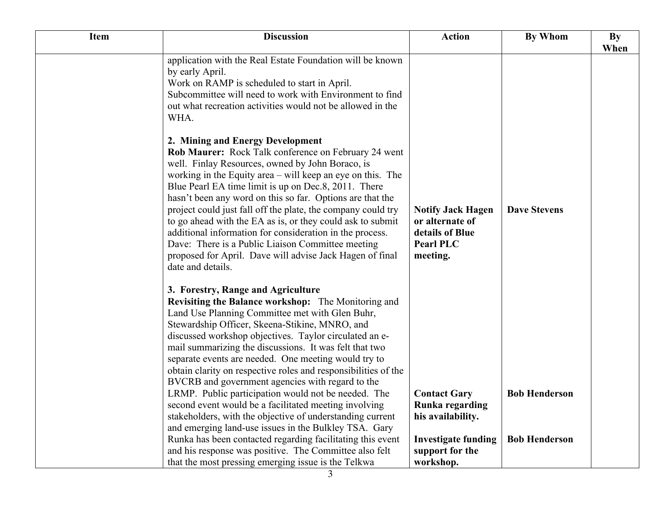| <b>Item</b> | <b>Discussion</b>                                                                                                                                                                                                                                                                                                                                                                                                                                                                                                                                                                                                                                               | <b>Action</b>                                                                                      | By Whom              | By   |
|-------------|-----------------------------------------------------------------------------------------------------------------------------------------------------------------------------------------------------------------------------------------------------------------------------------------------------------------------------------------------------------------------------------------------------------------------------------------------------------------------------------------------------------------------------------------------------------------------------------------------------------------------------------------------------------------|----------------------------------------------------------------------------------------------------|----------------------|------|
|             | application with the Real Estate Foundation will be known<br>by early April.<br>Work on RAMP is scheduled to start in April.<br>Subcommittee will need to work with Environment to find<br>out what recreation activities would not be allowed in the<br>WHA.                                                                                                                                                                                                                                                                                                                                                                                                   |                                                                                                    |                      | When |
|             | 2. Mining and Energy Development<br>Rob Maurer: Rock Talk conference on February 24 went<br>well. Finlay Resources, owned by John Boraco, is<br>working in the Equity area – will keep an eye on this. The<br>Blue Pearl EA time limit is up on Dec.8, 2011. There<br>hasn't been any word on this so far. Options are that the<br>project could just fall off the plate, the company could try<br>to go ahead with the EA as is, or they could ask to submit<br>additional information for consideration in the process.<br>Dave: There is a Public Liaison Committee meeting<br>proposed for April. Dave will advise Jack Hagen of final<br>date and details. | <b>Notify Jack Hagen</b><br>or alternate of<br>details of Blue<br><b>Pearl PLC</b><br>meeting.     | <b>Dave Stevens</b>  |      |
|             | 3. Forestry, Range and Agriculture<br><b>Revisiting the Balance workshop:</b> The Monitoring and<br>Land Use Planning Committee met with Glen Buhr,<br>Stewardship Officer, Skeena-Stikine, MNRO, and<br>discussed workshop objectives. Taylor circulated an e-<br>mail summarizing the discussions. It was felt that two<br>separate events are needed. One meeting would try to<br>obtain clarity on respective roles and responsibilities of the<br>BVCRB and government agencies with regard to the<br>LRMP. Public participation would not be needed. The                                                                                                  | <b>Contact Gary</b>                                                                                | <b>Bob Henderson</b> |      |
|             | second event would be a facilitated meeting involving<br>stakeholders, with the objective of understanding current<br>and emerging land-use issues in the Bulkley TSA. Gary<br>Runka has been contacted regarding facilitating this event<br>and his response was positive. The Committee also felt<br>that the most pressing emerging issue is the Telkwa                                                                                                                                                                                                                                                                                                      | Runka regarding<br>his availability.<br><b>Investigate funding</b><br>support for the<br>workshop. | <b>Bob Henderson</b> |      |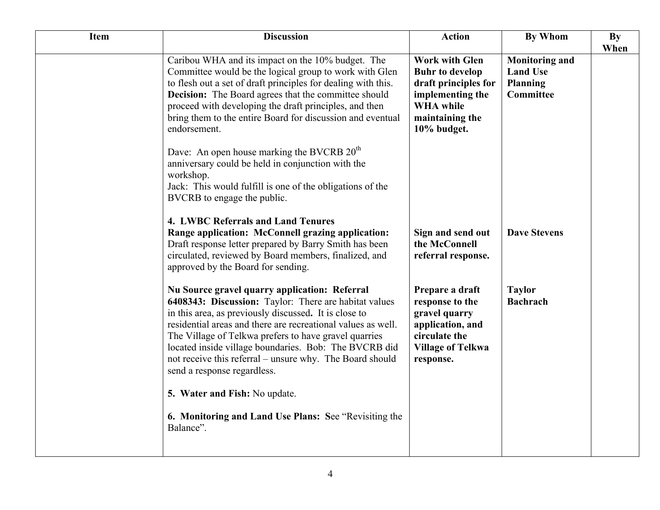| <b>Item</b> | <b>Discussion</b>                                                                                                                                                                                                                                                                                                                                                                                                                            | <b>Action</b>                                                                                                                                     | <b>By Whom</b>                                                                  | By<br>When |
|-------------|----------------------------------------------------------------------------------------------------------------------------------------------------------------------------------------------------------------------------------------------------------------------------------------------------------------------------------------------------------------------------------------------------------------------------------------------|---------------------------------------------------------------------------------------------------------------------------------------------------|---------------------------------------------------------------------------------|------------|
|             | Caribou WHA and its impact on the 10% budget. The<br>Committee would be the logical group to work with Glen<br>to flesh out a set of draft principles for dealing with this.<br><b>Decision:</b> The Board agrees that the committee should<br>proceed with developing the draft principles, and then<br>bring them to the entire Board for discussion and eventual<br>endorsement.                                                          | <b>Work with Glen</b><br><b>Buhr to develop</b><br>draft principles for<br>implementing the<br><b>WHA</b> while<br>maintaining the<br>10% budget. | <b>Monitoring and</b><br><b>Land Use</b><br><b>Planning</b><br><b>Committee</b> |            |
|             | Dave: An open house marking the BVCRB 20 <sup>th</sup><br>anniversary could be held in conjunction with the<br>workshop.<br>Jack: This would fulfill is one of the obligations of the<br>BVCRB to engage the public.                                                                                                                                                                                                                         |                                                                                                                                                   |                                                                                 |            |
|             | 4. LWBC Referrals and Land Tenures<br>Range application: McConnell grazing application:<br>Draft response letter prepared by Barry Smith has been<br>circulated, reviewed by Board members, finalized, and<br>approved by the Board for sending.                                                                                                                                                                                             | Sign and send out<br>the McConnell<br>referral response.                                                                                          | <b>Dave Stevens</b>                                                             |            |
|             | Nu Source gravel quarry application: Referral<br>6408343: Discussion: Taylor: There are habitat values<br>in this area, as previously discussed. It is close to<br>residential areas and there are recreational values as well.<br>The Village of Telkwa prefers to have gravel quarries<br>located inside village boundaries. Bob: The BVCRB did<br>not receive this referral – unsure why. The Board should<br>send a response regardless. | Prepare a draft<br>response to the<br>gravel quarry<br>application, and<br>circulate the<br><b>Village of Telkwa</b><br>response.                 | <b>Taylor</b><br><b>Bachrach</b>                                                |            |
|             | 5. Water and Fish: No update.<br>6. Monitoring and Land Use Plans: See "Revisiting the<br>Balance".                                                                                                                                                                                                                                                                                                                                          |                                                                                                                                                   |                                                                                 |            |